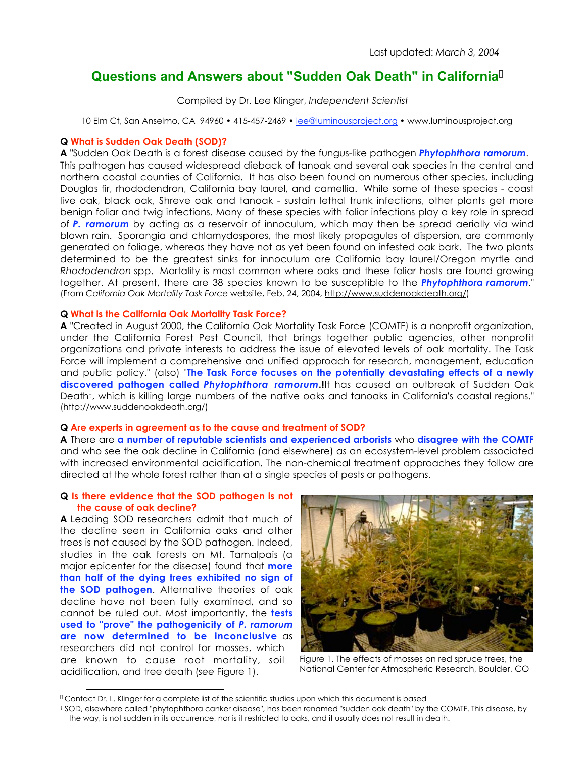# **Questions and Answers about "Sudden Oak Death" in California**\*

Compiled by Dr. Lee Klinger, *Independent Scientist*

10 Elm Ct, San Anselmo, CA 94960 • 415-457-2469 • lee@luminousproject.org • www.luminousproject.org

# **Q What is Sudden Oak Death (SOD)?**

**A** "Sudden Oak Death is a forest disease caused by the fungus-like pathogen *Phytophthora ramorum*. ! This pathogen has caused widespread dieback of tanoak and several oak species in the central and northern coastal counties of California.! It has also been found on numerous other species, including Douglas fir, rhododendron, California bay laurel, and camellia.! While some of these species - coast live oak, black oak, Shreve oak and tanoak - sustain lethal trunk infections, other plants get more benign foliar and twig infections. Many of these species with foliar infections play a key role in spread of *P. ramorum* by acting as a reservoir of innoculum, which may then be spread aerially via wind blown rain.! Sporangia and chlamydospores, the most likely propagules of dispersion, are commonly generated on foliage, whereas they have not as yet been found on infested oak bark.! The two plants determined to be the greatest sinks for innoculum are California bay laurel/Oregon myrtle and *Rhododendron* spp.! Mortality is most common where oaks and these foliar hosts are found growing together. At present, there are 38 species known to be susceptible to the *Phytophthora ramorum*." (From *California Oak Mortality Task Force* website, Feb. 24, 2004, http://www.suddenoakdeath.org/)

#### **Q What is the California Oak Mortality Task Force?**

**A** "Created in August 2000, the California Oak Mortality Task Force (COMTF) is a nonprofit organization, under the California Forest Pest Council, that brings together public agencies, other nonprofit organizations and private interests to address the issue of elevated levels of oak mortality. The Task Force will implement a comprehensive and unified approach for research, management, education and public policy." (also) "**The Task Force focuses on the potentially devastating effects of a newly discovered pathogen called** *Phytophthora ramorum***.!**It has caused an outbreak of Sudden Oak Death†, which is killing large numbers of the native oaks and tanoaks in California's coastal regions." (http://www.suddenoakdeath.org/)

#### **Q Are experts in agreement as to the cause and treatment of SOD?**

**A** There are **a number of reputable scientists and experienced arborists** who **disagree with the COMTF** and who see the oak decline in California (and elsewhere) as an ecosystem-level problem associated with increased environmental acidification. The non-chemical treatment approaches they follow are directed at the whole forest rather than at a single species of pests or pathogens.

#### **Q Is there evidence that the SOD pathogen is not the cause of oak decline?**

**A** Leading SOD researchers admit that much of the decline seen in California oaks and other trees is not caused by the SOD pathogen. Indeed, studies in the oak forests on Mt. Tamalpais (a major epicenter for the disease) found that **more than half of the dying trees exhibited no sign of the SOD pathogen**. Alternative theories of oak decline have not been fully examined, and so cannot be ruled out. Most importantly, the **tests used to "prove" the pathogenicity of** *P. ramorum* **are now determined to be inconclusive** as researchers did not control for mosses, which are known to cause root mortality, soil acidification, and tree death (*see* Figure 1).

l



Figure 1. The effects of mosses on red spruce trees, the National Center for Atmospheric Research, Boulder, CO

<sup>\*</sup> Contact Dr. L. Klinger for a complete list of the scientific studies upon which this document is based

<sup>†</sup> SOD, elsewhere called "phytophthora canker disease", has been renamed "sudden oak death" by the COMTF. This disease, by the way, is not sudden in its occurrence, nor is it restricted to oaks, and it usually does not result in death.